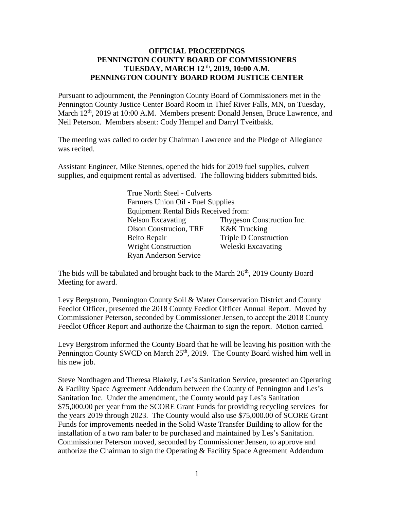## **OFFICIAL PROCEEDINGS PENNINGTON COUNTY BOARD OF COMMISSIONERS TUESDAY, MARCH 12** th **, 2019, 10:00 A.M. PENNINGTON COUNTY BOARD ROOM JUSTICE CENTER**

Pursuant to adjournment, the Pennington County Board of Commissioners met in the Pennington County Justice Center Board Room in Thief River Falls, MN, on Tuesday, March 12<sup>th</sup>, 2019 at 10:00 A.M. Members present: Donald Jensen, Bruce Lawrence, and Neil Peterson. Members absent: Cody Hempel and Darryl Tveitbakk.

The meeting was called to order by Chairman Lawrence and the Pledge of Allegiance was recited.

Assistant Engineer, Mike Stennes, opened the bids for 2019 fuel supplies, culvert supplies, and equipment rental as advertised. The following bidders submitted bids.

> True North Steel - Culverts Farmers Union Oil - Fuel Supplies Equipment Rental Bids Received from: Nelson Excavating Thygeson Construction Inc. Olson Construcion, TRF K&K Trucking Beito Repair Triple D Construction Wright Construction Weleski Excavating Ryan Anderson Service

The bids will be tabulated and brought back to the March  $26<sup>th</sup>$ , 2019 County Board Meeting for award.

Levy Bergstrom, Pennington County Soil & Water Conservation District and County Feedlot Officer, presented the 2018 County Feedlot Officer Annual Report. Moved by Commissioner Peterson, seconded by Commissioner Jensen, to accept the 2018 County Feedlot Officer Report and authorize the Chairman to sign the report. Motion carried.

Levy Bergstrom informed the County Board that he will be leaving his position with the Pennington County SWCD on March  $25<sup>th</sup>$ , 2019. The County Board wished him well in his new job.

Steve Nordhagen and Theresa Blakely, Les's Sanitation Service, presented an Operating & Facility Space Agreement Addendum between the County of Pennington and Les's Sanitation Inc. Under the amendment, the County would pay Les's Sanitation \$75,000.00 per year from the SCORE Grant Funds for providing recycling services for the years 2019 through 2023. The County would also use \$75,000.00 of SCORE Grant Funds for improvements needed in the Solid Waste Transfer Building to allow for the installation of a two ram baler to be purchased and maintained by Les's Sanitation. Commissioner Peterson moved, seconded by Commissioner Jensen, to approve and authorize the Chairman to sign the Operating & Facility Space Agreement Addendum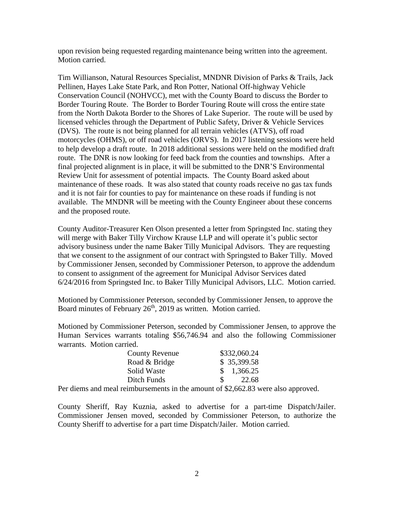upon revision being requested regarding maintenance being written into the agreement. Motion carried.

Tim Willianson, Natural Resources Specialist, MNDNR Division of Parks & Trails, Jack Pellinen, Hayes Lake State Park, and Ron Potter, National Off-highway Vehicle Conservation Council (NOHVCC), met with the County Board to discuss the Border to Border Touring Route. The Border to Border Touring Route will cross the entire state from the North Dakota Border to the Shores of Lake Superior. The route will be used by licensed vehicles through the Department of Public Safety, Driver & Vehicle Services (DVS). The route is not being planned for all terrain vehicles (ATVS), off road motorcycles (OHMS), or off road vehicles (ORVS). In 2017 listening sessions were held to help develop a draft route. In 2018 additional sessions were held on the modified draft route. The DNR is now looking for feed back from the counties and townships. After a final projected alignment is in place, it will be submitted to the DNR'S Environmental Review Unit for assessment of potential impacts. The County Board asked about maintenance of these roads. It was also stated that county roads receive no gas tax funds and it is not fair for counties to pay for maintenance on these roads if funding is not available. The MNDNR will be meeting with the County Engineer about these concerns and the proposed route.

County Auditor-Treasurer Ken Olson presented a letter from Springsted Inc. stating they will merge with Baker Tilly Virchow Krause LLP and will operate it's public sector advisory business under the name Baker Tilly Municipal Advisors. They are requesting that we consent to the assignment of our contract with Springsted to Baker Tilly. Moved by Commissioner Jensen, seconded by Commissioner Peterson, to approve the addendum to consent to assignment of the agreement for Municipal Advisor Services dated 6/24/2016 from Springsted Inc. to Baker Tilly Municipal Advisors, LLC. Motion carried.

Motioned by Commissioner Peterson, seconded by Commissioner Jensen, to approve the Board minutes of February  $26<sup>th</sup>$ , 2019 as written. Motion carried.

Motioned by Commissioner Peterson, seconded by Commissioner Jensen, to approve the Human Services warrants totaling \$56,746.94 and also the following Commissioner warrants. Motion carried.

| County Revenue | \$332,060.24           |
|----------------|------------------------|
| Road & Bridge  | \$35,399.58            |
| Solid Waste    | $\frac{$}{5}$ 1,366.25 |
| Ditch Funds    | $\mathcal{S}$<br>22.68 |

Per diems and meal reimbursements in the amount of \$2,662.83 were also approved.

County Sheriff, Ray Kuznia, asked to advertise for a part-time Dispatch/Jailer. Commissioner Jensen moved, seconded by Commissioner Peterson, to authorize the County Sheriff to advertise for a part time Dispatch/Jailer. Motion carried.